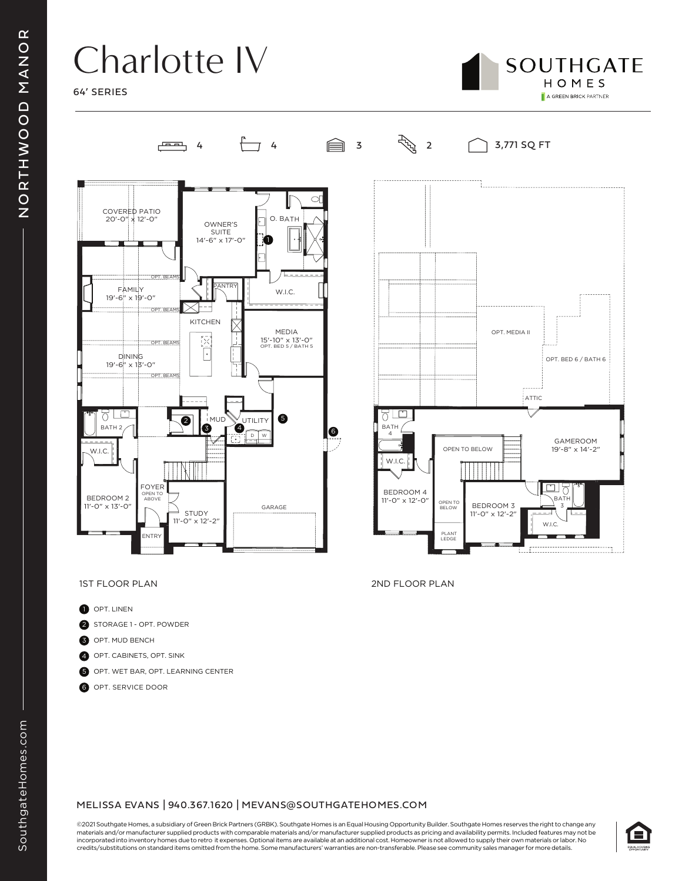## Charlotte IV

64' SERIES





- **D** OPT. LINEN
- 2 STORAGE 1 OPT. POWDER
- 3 OPT. MUD BENCH
- 4 OPT. CABINETS, OPT. SINK
- 5 OPT. WET BAR, OPT. LEARNING CENTER
- 6 OPT. SERVICE DOOR

### MELISSA EVANS | 940.367.1620 | MEVANS@SOUTHGATEHOMES.COM

©2021 Southgate Homes, a subsidiary of Green Brick Partners (GRBK). Southgate Homes is an Equal Housing Opportunity Builder. Southgate Homes reserves the right to change any materials and/or manufacturer supplied products with comparable materials and/or manufacturer supplied products as pricing and availability permits. Included features may not be incorporated into inventory homes due to retro it expenses. Optional items are available at an additional cost. Homeowner is not allowed to supply their own materials or labor. No credits/substitutions on standard items omitted from the home. Some manufacturers' warranties are non-transferable. Please see community sales manager for more details.



1ST FLOOR PLAN 2ND FLOOR PLAN